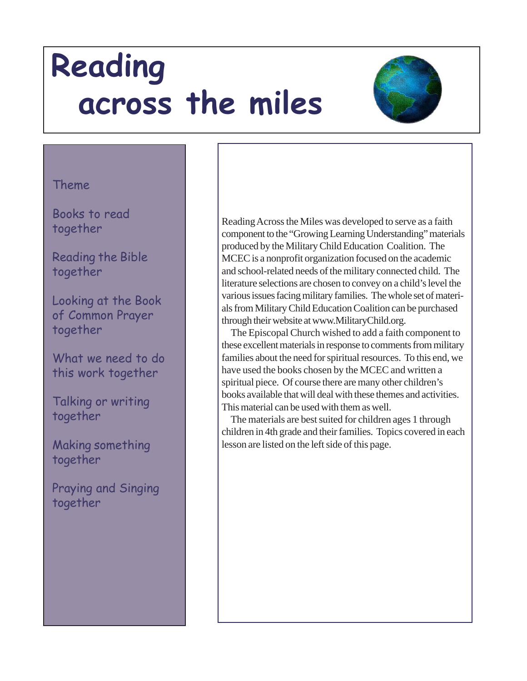

#### Theme

Books to read together

Reading the Bible together

Looking at the Book of Common Prayer together

What we need to do this work together

Talking or writing together

Making something together

Praying and Singing together

Reading Across the Miles was developed to serve as a faith component to the "Growing Learning Understanding" materials produced by the Military Child Education Coalition. The MCEC is a nonprofit organization focused on the academic and school-related needs of the military connected child. The literature selections are chosen to convey on a child's level the various issues facing military families. The whole set of materials from Military Child Education Coalition can be purchased through their website at www.MilitaryChild.org.

 The Episcopal Church wished to add a faith component to these excellent materials in response to comments from military families about the need for spiritual resources. To this end, we have used the books chosen by the MCEC and written a spiritual piece. Of course there are many other children's books available that will deal with these themes and activities. This material can be used with them as well.

 The materials are best suited for children ages 1 through children in 4th grade and their families. Topics covered in each lesson are listed on the left side of this page.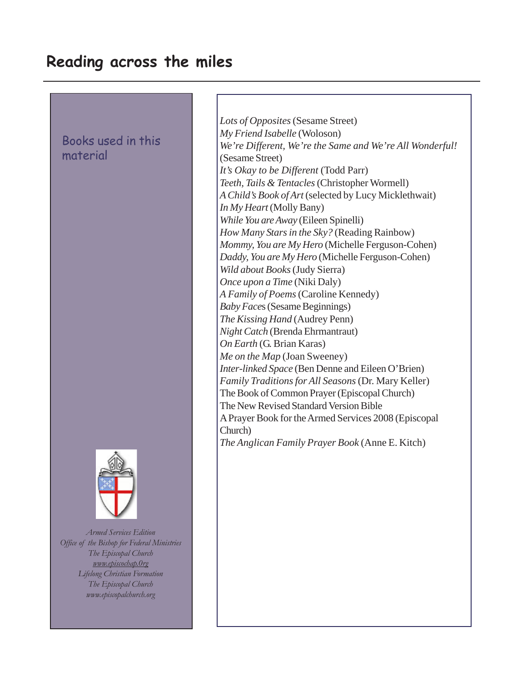### Books used in this material



*Armed Services Edition Office of the Bishop for Federal Ministries The Episcopal Church www.episcochap.0rg Lifelong Christian Formation The Episcopal Church www.episcopalchurch.org*

*Lots of Opposites* (Sesame Street) *My Friend Isabelle* (Woloson) *We're Different, We're the Same and We're All Wonderful!* (Sesame Street) *It's Okay to be Different* (Todd Parr) *Teeth, Tails & Tentacles* (Christopher Wormell) *A Child's Book of Art* (selected by Lucy Micklethwait) *In My Heart* (Molly Bany) *While You are Away* (Eileen Spinelli) *How Many Stars in the Sky?* (Reading Rainbow) *Mommy, You are My Hero* (Michelle Ferguson-Cohen) *Daddy, You are My Hero* (Michelle Ferguson-Cohen) *Wild about Books* (Judy Sierra) *Once upon a Time* (Niki Daly) *A Family of Poems* (Caroline Kennedy) *Baby Face*s (Sesame Beginnings) *The Kissing Hand* (Audrey Penn) *Night Catch* (Brenda Ehrmantraut) *On Earth* (G. Brian Karas) *Me on the Map* (Joan Sweeney) *Inter-linked Space* (Ben Denne and Eileen O'Brien) *Family Traditions for All Seasons* (Dr. Mary Keller) The Book of Common Prayer (Episcopal Church) The New Revised Standard Version Bible A Prayer Book for the Armed Services 2008 (Episcopal Church) *The Anglican Family Prayer Book* (Anne E. Kitch)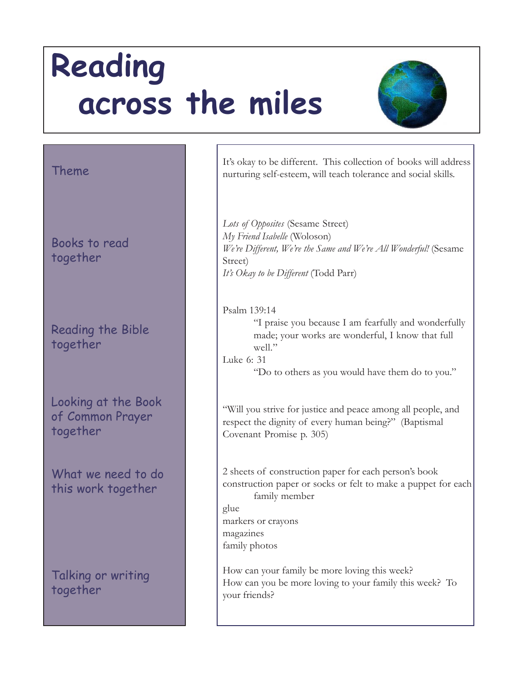

#### Theme

Books to read together

Reading the Bible together

Looking at the Book of Common Prayer together

What we need to do this work together

Talking or writing together

It's okay to be different. This collection of books will address nurturing self-esteem, will teach tolerance and social skills.

*Lots of Opposites* (Sesame Street) *My Friend Isabelle* (Woloson) *We're Different, We're the Same and We're All Wonderful!* (Sesame Street) *It's Okay to be Different* (Todd Parr)

Psalm 139:14 "I praise you because I am fearfully and wonderfully made; your works are wonderful, I know that full  $w$ ell." Luke 6: 31

"Do to others as you would have them do to you."

"Will you strive for justice and peace among all people, and respect the dignity of every human being?" (Baptismal Covenant Promise p. 305)

2 sheets of construction paper for each person's book construction paper or socks or felt to make a puppet for each family member

glue markers or crayons magazines family photos

How can your family be more loving this week? How can you be more loving to your family this week? To your friends?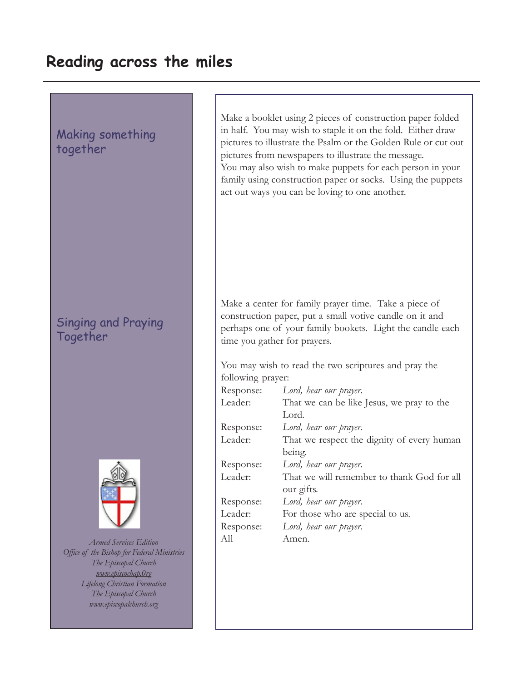# Making something together

## Singing and Praying Together



*Armed Services Edition Office of the Bishop for Federal Ministries The Episcopal Church www.episcochap.0rg Lifelong Christian Formation The Episcopal Church www.episcopalchurch.org*

Make a booklet using 2 pieces of construction paper folded in half. You may wish to staple it on the fold. Either draw pictures to illustrate the Psalm or the Golden Rule or cut out pictures from newspapers to illustrate the message. You may also wish to make puppets for each person in your family using construction paper or socks. Using the puppets act out ways you can be loving to one another.

Make a center for family prayer time. Take a piece of construction paper, put a small votive candle on it and perhaps one of your family bookets. Light the candle each time you gather for prayers.

You may wish to read the two scriptures and pray the following prayer:

| Response: | Lord, hear our prayer.                     |
|-----------|--------------------------------------------|
| Leader:   | That we can be like Jesus, we pray to the  |
|           | Lord.                                      |
| Response: | Lord, hear our prayer.                     |
| Leader:   | That we respect the dignity of every human |
|           | being.                                     |
| Response: | Lord, hear our prayer.                     |
| Leader:   | That we will remember to thank God for all |
|           | our gifts.                                 |
| Response: | Lord, hear our prayer.                     |
| Leader:   | For those who are special to us.           |
| Response: | Lord, hear our prayer.                     |
| All       | Amen.                                      |
|           |                                            |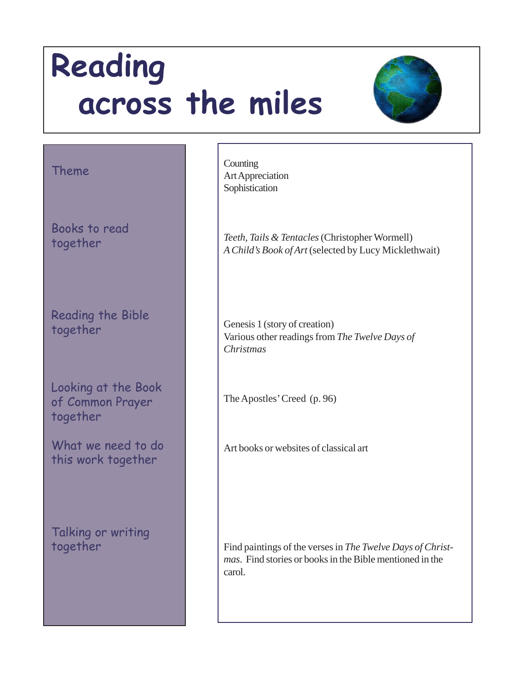

### Theme

Books to read together

Reading the Bible together

Looking at the Book of Common Prayer together

What we need to do this work together

Talking or writing together

**Counting** Art Appreciation Sophistication

*Teeth, Tails & Tentacles* (Christopher Wormell) *A Child's Book of Art* (selected by Lucy Micklethwait)

Genesis 1 (story of creation) Various other readings from *The Twelve Days of Christmas*

The Apostles' Creed (p. 96)

Art books or websites of classical art

Find paintings of the verses in *The Twelve Days of Christmas*. Find stories or books in the Bible mentioned in the carol.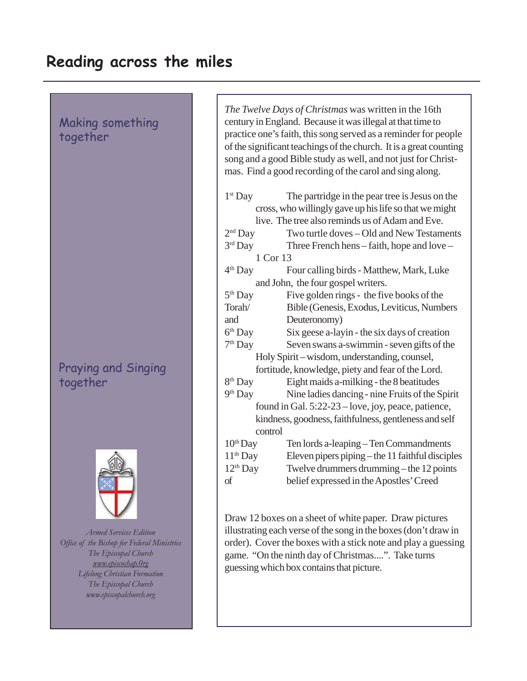Making something together

## Praying and Singing together



*Armed Services Edition Office of the Bishop for Federal Ministries The Episcopal Church www.episcochap.0rg Lifelong Christian Formation The Episcopal Church www.episcopalchurch.org*

*The Twelve Days of Christmas* was written in the 16th century in England. Because it was illegal at that time to practice one's faith, this song served as a reminder for people of the significant teachings of the church. It is a great counting song and a good Bible study as well, and not just for Christmas. Find a good recording of the carol and sing along.

| $1st$ Day                                              | The partridge in the pear tree is Jesus on the        |  |
|--------------------------------------------------------|-------------------------------------------------------|--|
| cross, who willingly gave up his life so that we might |                                                       |  |
|                                                        | live. The tree also reminds us of Adam and Eve.       |  |
| $2nd$ Day                                              | Two turtle doves - Old and New Testaments             |  |
| $3rd$ Day                                              | Three French hens – faith, hope and love –            |  |
| 1 Cor 13                                               |                                                       |  |
| $4th$ Day                                              | Four calling birds - Matthew, Mark, Luke              |  |
| and John, the four gospel writers.                     |                                                       |  |
| 5 <sup>th</sup> Day                                    | Five golden rings - the five books of the             |  |
| Torah/                                                 | Bible (Genesis, Exodus, Leviticus, Numbers            |  |
| and                                                    | Deuteronomy)                                          |  |
| 6 <sup>th</sup> Day                                    | Six geese a-layin - the six days of creation          |  |
| 7 <sup>th</sup> Day                                    | Seven swans a-swimmin - seven gifts of the            |  |
|                                                        | Holy Spirit – wisdom, understanding, counsel,         |  |
| fortitude, knowledge, piety and fear of the Lord.      |                                                       |  |
| 8 <sup>th</sup> Day                                    | Eight maids a-milking - the 8 beatitudes              |  |
| 9 <sup>th</sup> Day                                    | Nine ladies dancing - nine Fruits of the Spirit       |  |
| found in Gal. 5:22-23 - love, joy, peace, patience,    |                                                       |  |
|                                                        | kindness, goodness, faithfulness, gentleness and self |  |
| control                                                |                                                       |  |
| $10th$ Day                                             | Ten lords a-leaping - Ten Commandments                |  |
| $11th$ Day                                             | Eleven pipers piping - the 11 faithful disciples      |  |
| 12 <sup>th</sup> Day                                   | Twelve drummers drumming - the 12 points              |  |
| of                                                     | belief expressed in the Apostles' Creed               |  |
|                                                        |                                                       |  |

Draw 12 boxes on a sheet of white paper. Draw pictures illustrating each verse of the song in the boxes (don't draw in order). Cover the boxes with a stick note and play a guessing game. "On the ninth day of Christmas....". Take turns guessing which box contains that picture.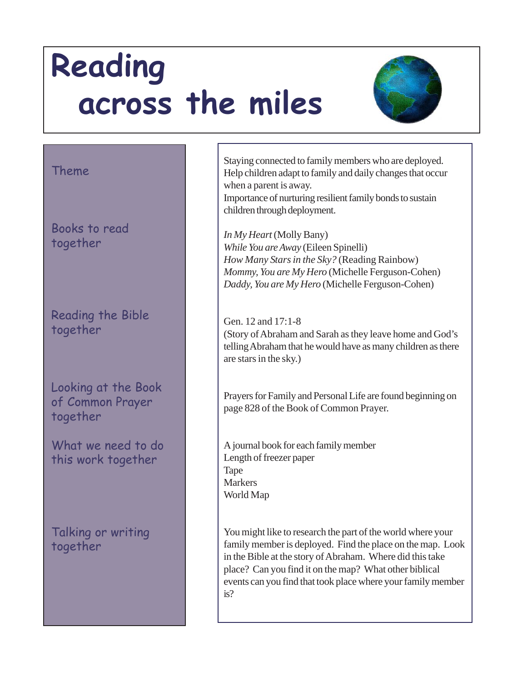

#### Theme

Books to read together

Reading the Bible together

Looking at the Book of Common Prayer together

What we need to do this work together

Talking or writing together

Staying connected to family members who are deployed. Help children adapt to family and daily changes that occur when a parent is away.

Importance of nurturing resilient family bonds to sustain children through deployment.

*In My Heart* (Molly Bany) *While You are Away* (Eileen Spinelli) *How Many Stars in the Sky?* (Reading Rainbow) *Mommy, You are My Hero* (Michelle Ferguson-Cohen) *Daddy, You are My Hero* (Michelle Ferguson-Cohen)

Gen. 12 and 17:1-8 (Story of Abraham and Sarah as they leave home and God's telling Abraham that he would have as many children as there are stars in the sky.)

Prayers for Family and Personal Life are found beginning on page 828 of the Book of Common Prayer.

A journal book for each family member Length of freezer paper Tape Markers World Map

You might like to research the part of the world where your family member is deployed. Find the place on the map. Look in the Bible at the story of Abraham. Where did this take place? Can you find it on the map? What other biblical events can you find that took place where your family member is?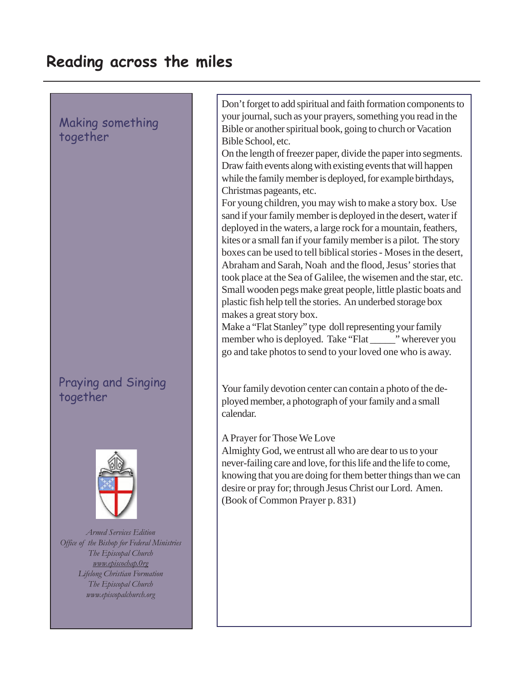### Making something together

### Praying and Singing together



*Armed Services Edition Office of the Bishop for Federal Ministries The Episcopal Church www.episcochap.0rg Lifelong Christian Formation The Episcopal Church www.episcopalchurch.org*

Don't forget to add spiritual and faith formation components to your journal, such as your prayers, something you read in the Bible or another spiritual book, going to church or Vacation Bible School, etc.

On the length of freezer paper, divide the paper into segments. Draw faith events along with existing events that will happen while the family member is deployed, for example birthdays, Christmas pageants, etc.

For young children, you may wish to make a story box. Use sand if your family member is deployed in the desert, water if deployed in the waters, a large rock for a mountain, feathers, kites or a small fan if your family member is a pilot. The story boxes can be used to tell biblical stories - Moses in the desert, Abraham and Sarah, Noah and the flood, Jesus' stories that took place at the Sea of Galilee, the wisemen and the star, etc. Small wooden pegs make great people, little plastic boats and plastic fish help tell the stories. An underbed storage box makes a great story box.

Make a "Flat Stanley" type doll representing your family member who is deployed. Take "Flat \_\_\_\_\_\_" wherever you go and take photos to send to your loved one who is away.

Your family devotion center can contain a photo of the deployed member, a photograph of your family and a small calendar.

#### A Prayer for Those We Love

Almighty God, we entrust all who are dear to us to your never-failing care and love, for this life and the life to come, knowing that you are doing for them better things than we can desire or pray for; through Jesus Christ our Lord. Amen. (Book of Common Prayer p. 831)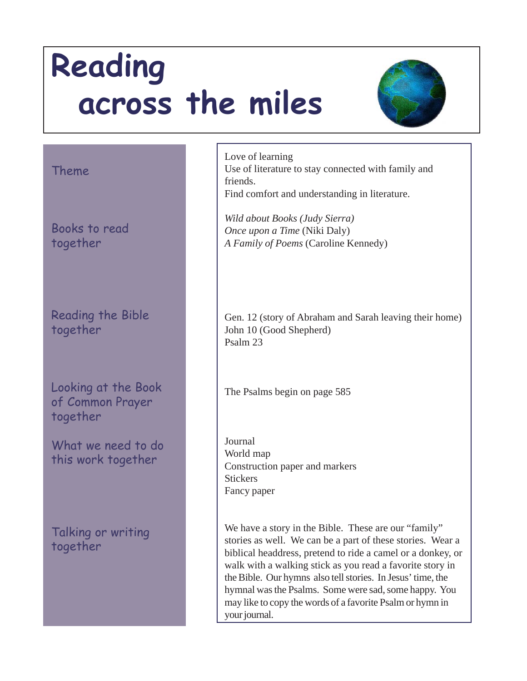

#### Theme

Books to read together

Reading the Bible together

Looking at the Book of Common Prayer together

What we need to do this work together

Talking or writing together

Love of learning Use of literature to stay connected with family and friends. Find comfort and understanding in literature.

*Wild about Books (Judy Sierra) Once upon a Time* (Niki Daly) *A Family of Poems* (Caroline Kennedy)

Gen. 12 (story of Abraham and Sarah leaving their home) John 10 (Good Shepherd) Psalm 23

The Psalms begin on page 585

Journal World map Construction paper and markers **Stickers** Fancy paper

We have a story in the Bible. These are our "family" stories as well. We can be a part of these stories. Wear a biblical headdress, pretend to ride a camel or a donkey, or walk with a walking stick as you read a favorite story in the Bible. Our hymns also tell stories. In Jesus' time, the hymnal was the Psalms. Some were sad, some happy. You may like to copy the words of a favorite Psalm or hymn in your journal.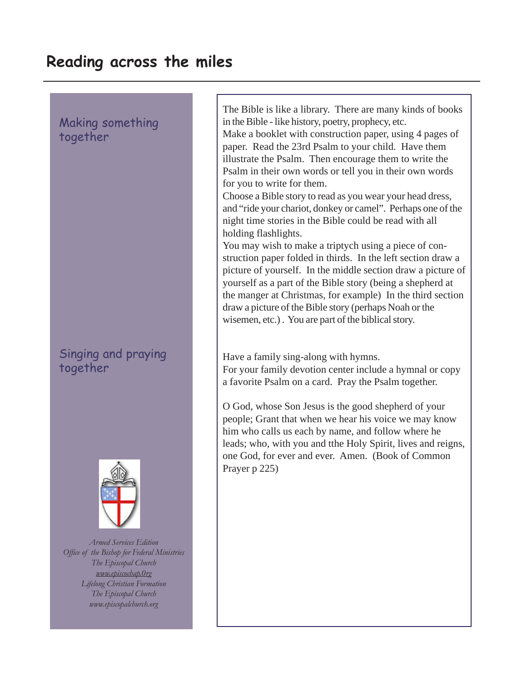Making something together

Singing and praying together



*Armed Services Edition Office of the Bishop for Federal Ministries The Episcopal Church www.episcochap.0rg Lifelong Christian Formation The Episcopal Church www.episcopalchurch.org*

The Bible is like a library. There are many kinds of books in the Bible - like history, poetry, prophecy, etc.

Make a booklet with construction paper, using 4 pages of paper. Read the 23rd Psalm to your child. Have them illustrate the Psalm. Then encourage them to write the Psalm in their own words or tell you in their own words for you to write for them.

Choose a Bible story to read as you wear your head dress, and "ride your chariot, donkey or camel". Perhaps one of the night time stories in the Bible could be read with all holding flashlights.

You may wish to make a triptych using a piece of construction paper folded in thirds. In the left section draw a picture of yourself. In the middle section draw a picture of yourself as a part of the Bible story (being a shepherd at the manger at Christmas, for example) In the third section draw a picture of the Bible story (perhaps Noah or the wisemen, etc.) . You are part of the biblical story.

Have a family sing-along with hymns.

For your family devotion center include a hymnal or copy a favorite Psalm on a card. Pray the Psalm together.

O God, whose Son Jesus is the good shepherd of your people; Grant that when we hear his voice we may know him who calls us each by name, and follow where he leads; who, with you and tthe Holy Spirit, lives and reigns, one God, for ever and ever. Amen. (Book of Common Prayer p 225)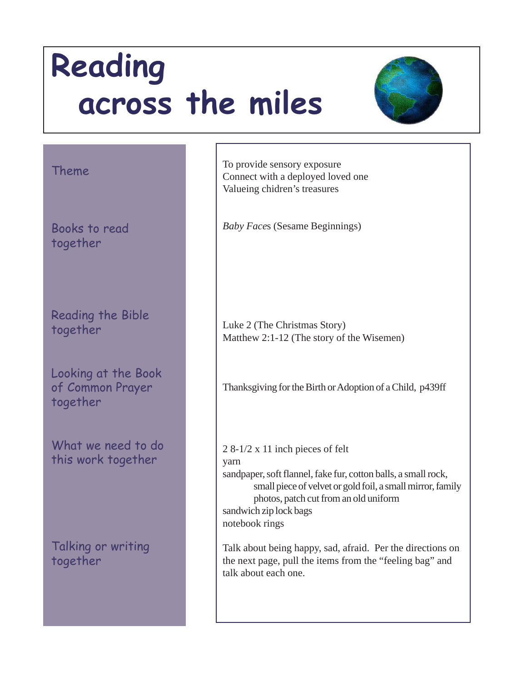

### Theme

Books to read together

Reading the Bible together

Looking at the Book of Common Prayer together

What we need to do this work together

Talking or writing together

To provide sensory exposure Connect with a deployed loved one Valueing chidren's treasures

*Baby Face*s (Sesame Beginnings)

Luke 2 (The Christmas Story) Matthew 2:1-12 (The story of the Wisemen)

Thanksgiving for the Birth or Adoption of a Child, p439ff

2 8-1/2 x 11 inch pieces of felt yarn sandpaper, soft flannel, fake fur, cotton balls, a small rock, small piece of velvet or gold foil, a small mirror, family photos, patch cut from an old uniform sandwich zip lock bags notebook rings

Talk about being happy, sad, afraid. Per the directions on the next page, pull the items from the "feeling bag" and talk about each one.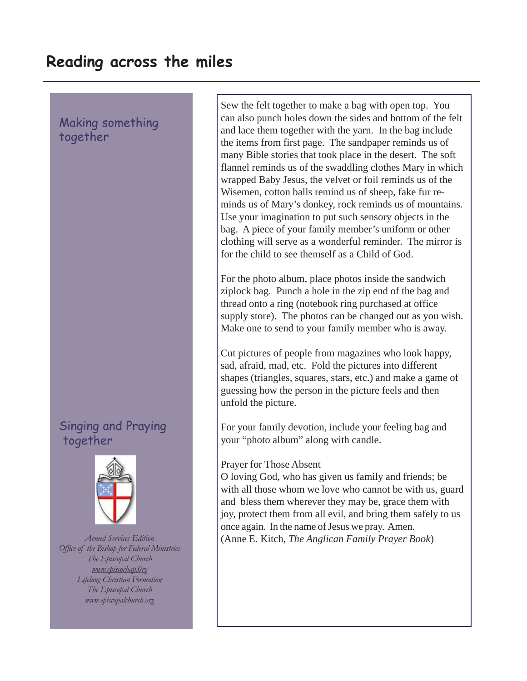Making something together

### Singing and Praying together



*Armed Services Edition Office of the Bishop for Federal Ministries The Episcopal Church www.episcochap.0rg Lifelong Christian Formation The Episcopal Church www.episcopalchurch.org*

Sew the felt together to make a bag with open top. You can also punch holes down the sides and bottom of the felt and lace them together with the yarn. In the bag include the items from first page. The sandpaper reminds us of many Bible stories that took place in the desert. The soft flannel reminds us of the swaddling clothes Mary in which wrapped Baby Jesus, the velvet or foil reminds us of the Wisemen, cotton balls remind us of sheep, fake fur reminds us of Mary's donkey, rock reminds us of mountains. Use your imagination to put such sensory objects in the bag. A piece of your family member's uniform or other clothing will serve as a wonderful reminder. The mirror is for the child to see themself as a Child of God.

For the photo album, place photos inside the sandwich ziplock bag. Punch a hole in the zip end of the bag and thread onto a ring (notebook ring purchased at office supply store). The photos can be changed out as you wish. Make one to send to your family member who is away.

Cut pictures of people from magazines who look happy, sad, afraid, mad, etc. Fold the pictures into different shapes (triangles, squares, stars, etc.) and make a game of guessing how the person in the picture feels and then unfold the picture.

For your family devotion, include your feeling bag and your "photo album" along with candle.

#### Prayer for Those Absent

O loving God, who has given us family and friends; be with all those whom we love who cannot be with us, guard and bless them wherever they may be, grace them with joy, protect them from all evil, and bring them safely to us once again. In the name of Jesus we pray. Amen. (Anne E. Kitch, *The Anglican Family Prayer Book*)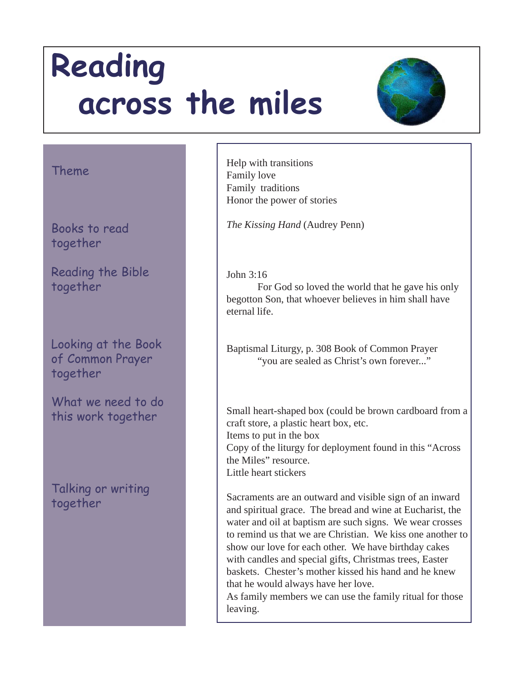

### Theme

Books to read together

Reading the Bible together

Looking at the Book of Common Prayer together

What we need to do this work together

Talking or writing together

Help with transitions Family love Family traditions Honor the power of stories

*The Kissing Hand* (Audrey Penn)

John 3:16

For God so loved the world that he gave his only begotton Son, that whoever believes in him shall have eternal life.

Baptismal Liturgy, p. 308 Book of Common Prayer "you are sealed as Christ's own forever..."

Small heart-shaped box (could be brown cardboard from a craft store, a plastic heart box, etc. Items to put in the box Copy of the liturgy for deployment found in this "Across the Miles" resource. Little heart stickers

Sacraments are an outward and visible sign of an inward and spiritual grace. The bread and wine at Eucharist, the water and oil at baptism are such signs. We wear crosses to remind us that we are Christian. We kiss one another to show our love for each other. We have birthday cakes with candles and special gifts, Christmas trees, Easter baskets. Chester's mother kissed his hand and he knew that he would always have her love.

As family members we can use the family ritual for those leaving.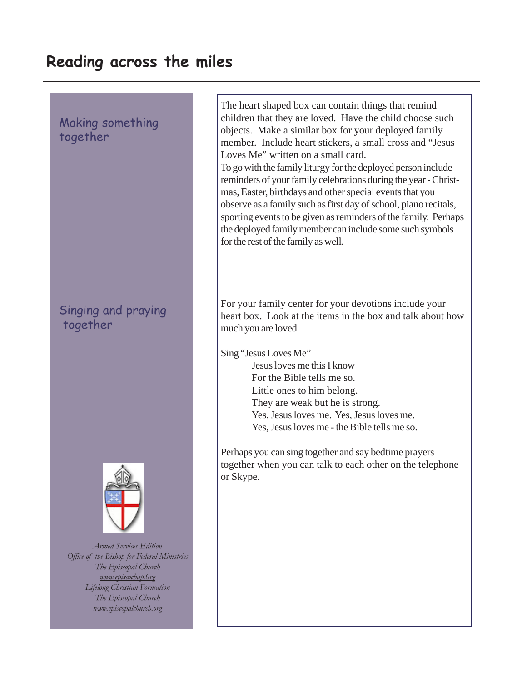### Making something together

## Singing and praying together



*Armed Services Edition Office of the Bishop for Federal Ministries The Episcopal Church www.episcochap.0rg Lifelong Christian Formation The Episcopal Church www.episcopalchurch.org*

The heart shaped box can contain things that remind children that they are loved. Have the child choose such objects. Make a similar box for your deployed family member. Include heart stickers, a small cross and "Jesus Loves Me" written on a small card.

To go with the family liturgy for the deployed person include reminders of your family celebrations during the year - Christmas, Easter, birthdays and other special events that you observe as a family such as first day of school, piano recitals, sporting events to be given as reminders of the family. Perhaps the deployed family member can include some such symbols for the rest of the family as well.

For your family center for your devotions include your heart box. Look at the items in the box and talk about how much you are loved.

Sing "Jesus Loves Me"

Jesus loves me this I know For the Bible tells me so. Little ones to him belong. They are weak but he is strong. Yes, Jesus loves me. Yes, Jesus loves me. Yes, Jesus loves me - the Bible tells me so.

Perhaps you can sing together and say bedtime prayers together when you can talk to each other on the telephone or Skype.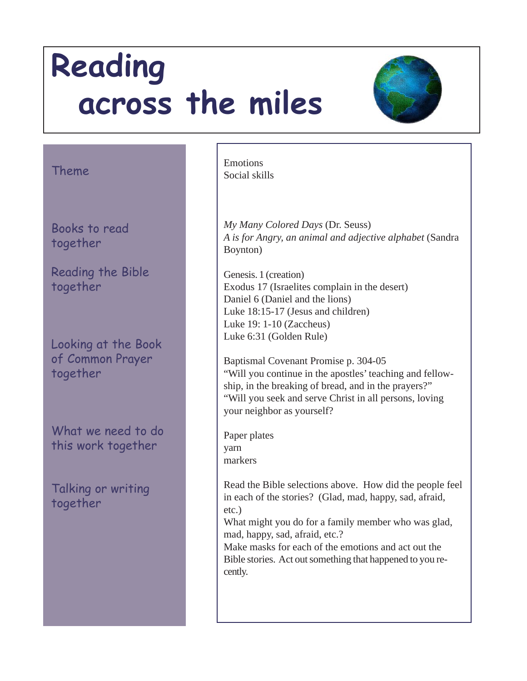

### Theme

Books to read together

Reading the Bible together

Looking at the Book of Common Prayer together

What we need to do this work together

Talking or writing together

Emotions Social skills

*My Many Colored Days* (Dr. Seuss) *A is for Angry, an animal and adjective alphabet* (Sandra Boynton)

Genesis. 1 (creation) Exodus 17 (Israelites complain in the desert) Daniel 6 (Daniel and the lions) Luke 18:15-17 (Jesus and children) Luke 19: 1-10 (Zaccheus) Luke 6:31 (Golden Rule)

Baptismal Covenant Promise p. 304-05 "Will you continue in the apostles' teaching and fellowship, in the breaking of bread, and in the prayers?" "Will you seek and serve Christ in all persons, loving your neighbor as yourself?

Paper plates yarn markers

Read the Bible selections above. How did the people feel in each of the stories? (Glad, mad, happy, sad, afraid, etc.)

What might you do for a family member who was glad, mad, happy, sad, afraid, etc.?

Make masks for each of the emotions and act out the Bible stories. Act out something that happened to you recently.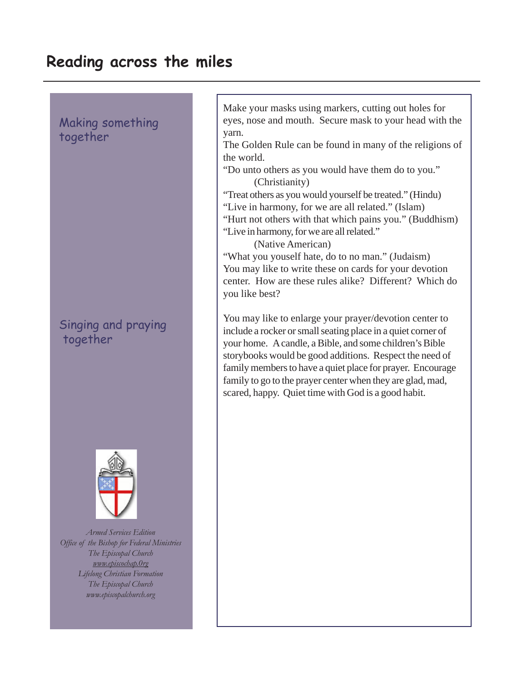Making something together

Singing and praying together



*Armed Services Edition Office of the Bishop for Federal Ministries The Episcopal Church www.episcochap.0rg Lifelong Christian Formation The Episcopal Church www.episcopalchurch.org*

Make your masks using markers, cutting out holes for eyes, nose and mouth. Secure mask to your head with the yarn.

The Golden Rule can be found in many of the religions of the world.

"Do unto others as you would have them do to you." (Christianity)

"Treat others as you would yourself be treated." (Hindu)

"Live in harmony, for we are all related." (Islam)

"Hurt not others with that which pains you." (Buddhism)

"Live in harmony, for we are all related."

(Native American)

"What you youself hate, do to no man." (Judaism) You may like to write these on cards for your devotion center. How are these rules alike? Different? Which do you like best?

You may like to enlarge your prayer/devotion center to include a rocker or small seating place in a quiet corner of your home. A candle, a Bible, and some children's Bible storybooks would be good additions. Respect the need of family members to have a quiet place for prayer. Encourage family to go to the prayer center when they are glad, mad, scared, happy. Quiet time with God is a good habit.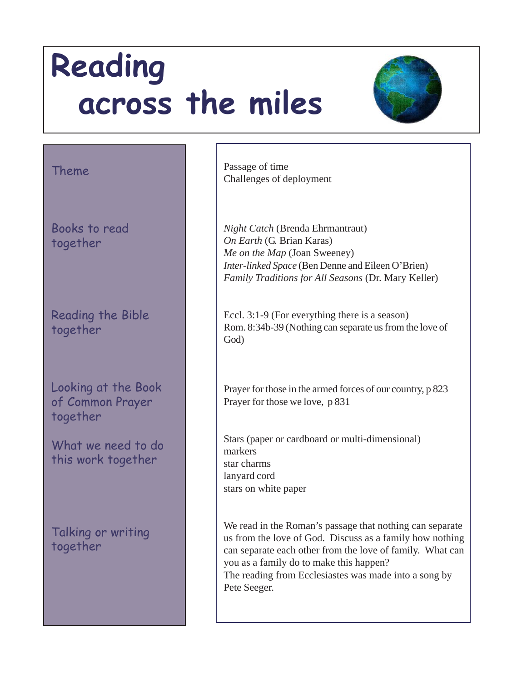

#### Theme

Books to read together

Reading the Bible together

Looking at the Book of Common Prayer together

What we need to do this work together

Talking or writing together

Passage of time Challenges of deployment

*Night Catch* (Brenda Ehrmantraut) *On Earth* (G. Brian Karas) *Me on the Map* (Joan Sweeney) *Inter-linked Space* (Ben Denne and Eileen O'Brien) *Family Traditions for All Seasons* (Dr. Mary Keller)

Eccl. 3:1-9 (For everything there is a season) Rom. 8:34b-39 (Nothing can separate us from the love of God)

Prayer for those in the armed forces of our country, p 823 Prayer for those we love, p 831

Stars (paper or cardboard or multi-dimensional) markers star charms lanyard cord stars on white paper

We read in the Roman's passage that nothing can separate us from the love of God. Discuss as a family how nothing can separate each other from the love of family. What can you as a family do to make this happen? The reading from Ecclesiastes was made into a song by Pete Seeger.